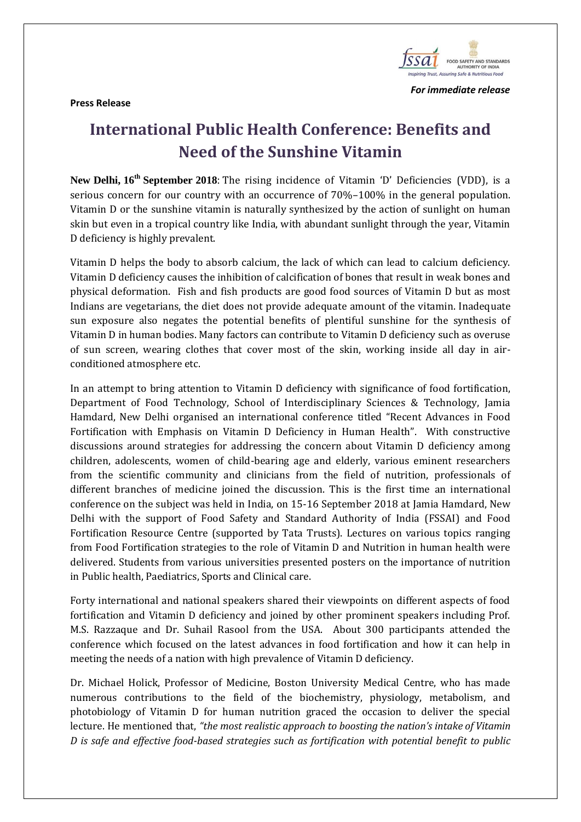

 *For immediate release* 

**Press Release** 

## **International Public Health Conference: Benefits and Need of the Sunshine Vitamin**

**New Delhi, 16th September 2018**: The rising incidence of Vitamin 'D' Deficiencies (VDD), is a serious concern for our country with an occurrence of 70%–100% in the general population. Vitamin D or the sunshine vitamin is naturally synthesized by the action of sunlight on human skin but even in a tropical country like India, with abundant sunlight through the year, Vitamin D deficiency is highly prevalent.

Vitamin D helps the body to absorb calcium, the lack of which can lead to calcium deficiency. Vitamin D deficiency causes the inhibition of calcification of bones that result in weak bones and physical deformation. Fish and fish products are good food sources of Vitamin D but as most Indians are vegetarians, the diet does not provide adequate amount of the vitamin. Inadequate sun exposure also negates the potential benefits of plentiful sunshine for the synthesis of Vitamin D in human bodies. Many factors can contribute to Vitamin D deficiency such as overuse of sun screen, wearing clothes that cover most of the skin, working inside all day in airconditioned atmosphere etc.

In an attempt to bring attention to Vitamin D deficiency with significance of food fortification, Department of Food Technology, School of Interdisciplinary Sciences & Technology, Jamia Hamdard, New Delhi organised an international conference titled "Recent Advances in Food Fortification with Emphasis on Vitamin D Deficiency in Human Health". With constructive discussions around strategies for addressing the concern about Vitamin D deficiency among children, adolescents, women of child-bearing age and elderly, various eminent researchers from the scientific community and clinicians from the field of nutrition, professionals of different branches of medicine joined the discussion. This is the first time an international conference on the subject was held in India, on 15-16 September 2018 at Jamia Hamdard, New Delhi with the support of Food Safety and Standard Authority of India (FSSAI) and Food Fortification Resource Centre (supported by Tata Trusts). Lectures on various topics ranging from Food Fortification strategies to the role of Vitamin D and Nutrition in human health were delivered. Students from various universities presented posters on the importance of nutrition in Public health, Paediatrics, Sports and Clinical care.

Forty international and national speakers shared their viewpoints on different aspects of food fortification and Vitamin D deficiency and joined by other prominent speakers including Prof. M.S. Razzaque and Dr. Suhail Rasool from the USA. About 300 participants attended the conference which focused on the latest advances in food fortification and how it can help in meeting the needs of a nation with high prevalence of Vitamin D deficiency.

Dr. Michael Holick, Professor of Medicine, Boston University Medical Centre, who has made numerous contributions to the field of the biochemistry, physiology, metabolism, and photobiology of Vitamin D for human nutrition graced the occasion to deliver the special lecture. He mentioned that, *"the most realistic approach to boosting the nation's intake of Vitamin D is safe and effective food-based strategies such as fortification with potential benefit to public*